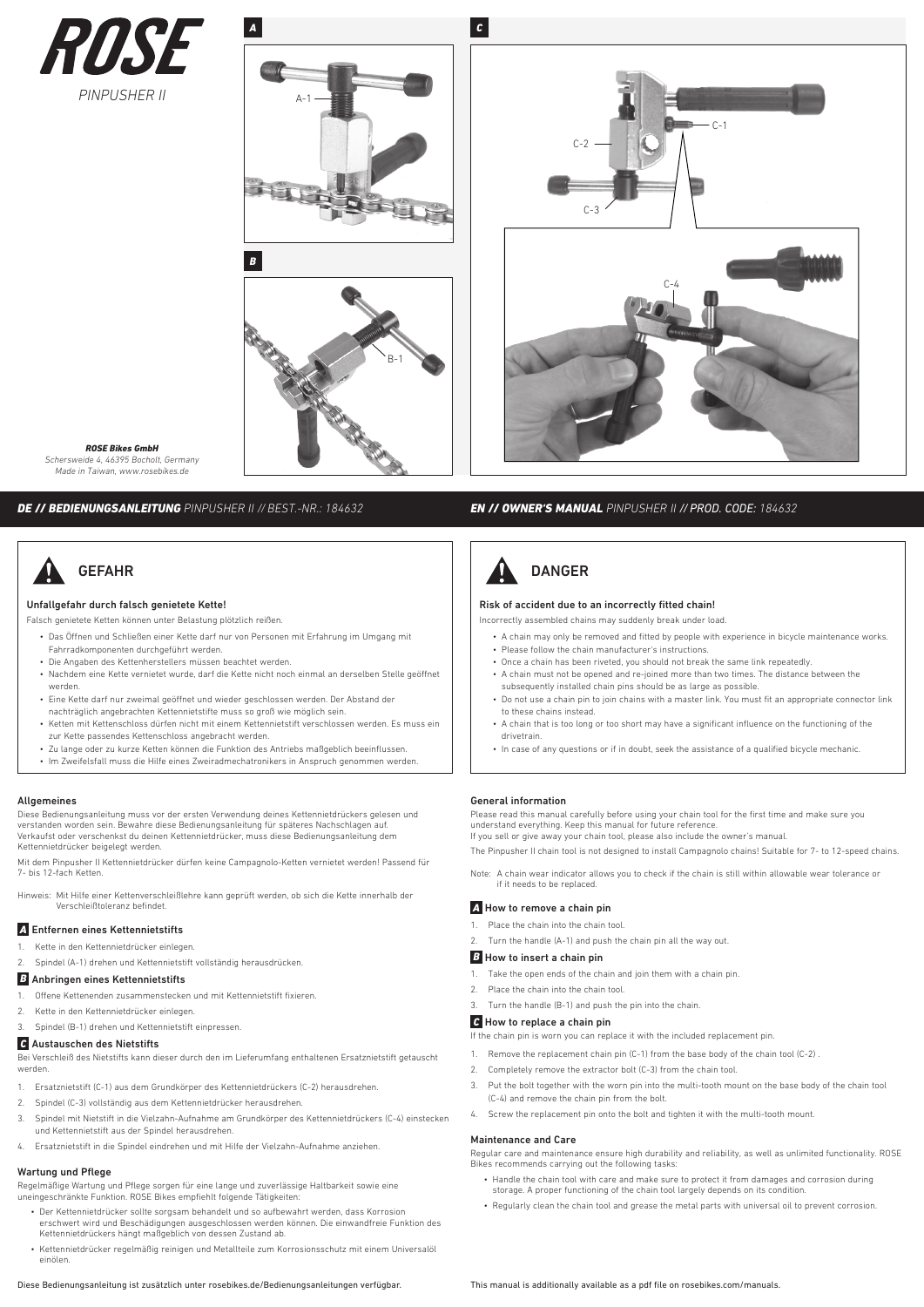



C-3  $C-1$ C-2 C-4

*ROSE Bikes GmbH Schersweide 4, 46395 Bocholt, Germany Made in Taiwan, www.rosebikes.de*

#### *DE // BEDIENUNGSANLEITUNG PINPUSHER II // BEST.-NR.: 184632 EN // OWNER'S MANUAL PINPUSHER II // PROD. CODE: 184632*

## GEFAHR

#### Unfallgefahr durch falsch genietete Kette!

- Falsch genietete Ketten können unter Belastung plötzlich reißen.
- Das Öffnen und Schließen einer Kette darf nur von Personen mit Erfahrung im Umgang mit Fahrradkomponenten durchgeführt werden.
- Die Angaben des Kettenherstellers müssen beachtet werden.
- Nachdem eine Kette vernietet wurde, darf die Kette nicht noch einmal an derselben Stelle geöffnet werden.
- Eine Kette darf nur zweimal geöffnet und wieder geschlossen werden. Der Abstand der nachträglich angebrachten Kettennietstifte muss so groß wie möglich sein.
- Ketten mit Kettenschloss dürfen nicht mit einem Kettennietstift verschlossen werden. Es muss ein zur Kette passendes Kettenschloss angebracht werden.
- Zu lange oder zu kurze Ketten können die Funktion des Antriebs maßgeblich beeinflussen.
- Im Zweifelsfall muss die Hilfe eines Zweiradmechatronikers in Anspruch genommen werden.

#### Allgemeines

Diese Bedienungsanleitung muss vor der ersten Verwendung deines Kettennietdrückers gelesen und verstanden worden sein. Bewahre diese Bedienungsanleitung für späteres Nachschlagen auf. Verkaufst oder verschenkst du deinen Kettennietdrücker, muss diese Bedienungsanleitung dem Kettennietdrücker beigelegt werden.

Mit dem Pinpusher II Kettennietdrücker dürfen keine Campagnolo-Ketten vernietet werden! Passend für 7- bis 12-fach Ketten.

Hinweis: Mit Hilfe einer Kettenverschleißlehre kann geprüft werden, ob sich die Kette innerhalb der Verschleißtoleranz befindet.

#### *A* Entfernen eines Kettennietstifts

- 1. Kette in den Kettennietdrücker einlegen.
- 2. Spindel (A-1) drehen und Kettennietstift vollständig herausdrücken.

#### *B* Anbringen eines Kettennietstifts

- 1. Offene Kettenenden zusammenstecken und mit Kettennietstift fixieren.
- 2. Kette in den Kettennietdrücker einlegen.
- 3. Spindel (B-1) drehen und Kettennietstift einpressen.

### *C* Austauschen des Nietstifts

Bei Verschleiß des Nietstifts kann dieser durch den im Lieferumfang enthaltenen Ersatznietstift getauscht werden.

- 1. Ersatznietstift (C-1) aus dem Grundkörper des Kettennietdrückers (C-2) herausdrehen.
- 2. Spindel (C-3) vollständig aus dem Kettennietdrücker herausdrehen.
- 3. Spindel mit Nietstift in die Vielzahn-Aufnahme am Grundkörper des Kettennietdrückers (C-4) einstecken und Kettennietstift aus der Spindel herausdrehen.
- 4. Ersatznietstift in die Spindel eindrehen und mit Hilfe der Vielzahn-Aufnahme anziehen.

#### Wartung und Pflege

Regelmäßige Wartung und Pflege sorgen für eine lange und zuverlässige Haltbarkeit sowie eine uneingeschränkte Funktion. ROSE Bikes empfiehlt folgende Tätigkeiten:

- Der Kettennietdrücker sollte sorgsam behandelt und so aufbewahrt werden, dass Korrosion erschwert wird und Beschädigungen ausgeschlossen werden können. Die einwandfreie Funktion des Kettennietdrückers hängt maßgeblich von dessen Zustand ab.
- Kettennietdrücker regelmäßig reinigen und Metallteile zum Korrosionsschutz mit einem Universalöl einölen.
- 

# DANGER

#### Risk of accident due to an incorrectly fitted chain!

- Incorrectly assembled chains may suddenly break under load.
	- A chain may only be removed and fitted by people with experience in bicycle maintenance works.
	- Please follow the chain manufacturer's instructions. • Once a chain has been riveted, you should not break the same link repeatedly.
	- A chain must not be opened and re-joined more than two times. The distance between the subsequently installed chain pins should be as large as possible.
	- Do not use a chain pin to join chains with a master link. You must fit an appropriate connector link to these chains instead.
	- A chain that is too long or too short may have a significant influence on the functioning of the drivetrain.
	- In case of any questions or if in doubt, seek the assistance of a qualified bicycle mechanic.

#### General information

Please read this manual carefully before using your chain tool for the first time and make sure you understand everything. Keep this manual for future reference. If you sell or give away your chain tool, please also include the owner's manual.

The Pinpusher II chain tool is not designed to install Campagnolo chains! Suitable for 7- to 12-speed chains.

Note: A chain wear indicator allows you to check if the chain is still within allowable wear tolerance or if it needs to be replaced.

#### *A* How to remove a chain pin

- 1. Place the chain into the chain tool.
- Turn the handle (A-1) and push the chain pin all the way out.

#### **B** How to insert a chain pin

- 1. Take the open ends of the chain and join them with a chain pin.
- 2. Place the chain into the chain tool.
- 3. Turn the handle (B-1) and push the pin into the chain.

#### *C* How to replace a chain pin

If the chain pin is worn you can replace it with the included replacement pin.

- 1. Remove the replacement chain pin (C-1) from the base body of the chain tool (C-2) .
- 2. Completely remove the extractor bolt (C-3) from the chain tool.
- 3. Put the bolt together with the worn pin into the multi-tooth mount on the base body of the chain tool (C-4) and remove the chain pin from the bolt.
- 4. Screw the replacement pin onto the bolt and tighten it with the multi-tooth mount.

#### Maintenance and Care

Regular care and maintenance ensure high durability and reliability, as well as unlimited functionality. ROSE Bikes recommends carrying out the following tasks:

- Handle the chain tool with care and make sure to protect it from damages and corrosion during storage. A proper functioning of the chain tool largely depends on its condition.
- Regularly clean the chain tool and grease the metal parts with universal oil to prevent corrosion.